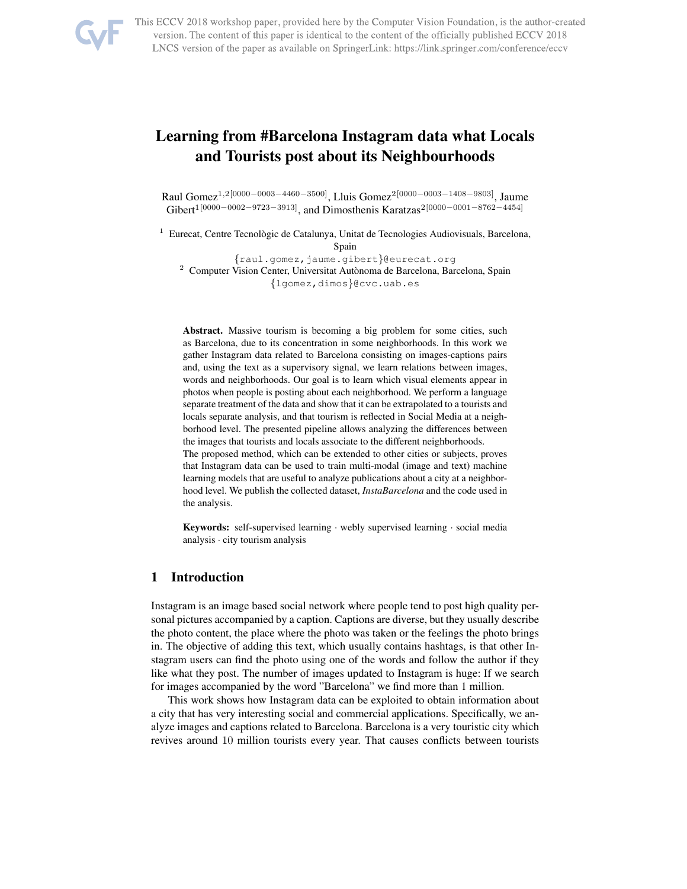

This ECCV 2018 workshop paper, provided here by the Computer Vision Foundation, is the author-created version. The content of this paper is identical to the content of the officially published ECCV 2018 LNCS version of the paper as available on SpringerLink: https://link.springer.com/conference/eccv

# Learning from #Barcelona Instagram data what Locals and Tourists post about its Neighbourhoods

Raul Gomez1,2[0000−0003−4460−3500], Lluis Gomez2[0000−0003−1408−9803], Jaume Gibert1[0000−0002−9723−3913], and Dimosthenis Karatzas2[0000−0001−8762−4454]

 $1$  Eurecat, Centre Tecnològic de Catalunya, Unitat de Tecnologies Audiovisuals, Barcelona,

Spain

{raul.gomez,jaume.gibert}@eurecat.org <sup>2</sup> Computer Vision Center, Universitat Autònoma de Barcelona, Barcelona, Spain {lgomez,dimos}@cvc.uab.es

Abstract. Massive tourism is becoming a big problem for some cities, such as Barcelona, due to its concentration in some neighborhoods. In this work we gather Instagram data related to Barcelona consisting on images-captions pairs and, using the text as a supervisory signal, we learn relations between images, words and neighborhoods. Our goal is to learn which visual elements appear in photos when people is posting about each neighborhood. We perform a language separate treatment of the data and show that it can be extrapolated to a tourists and locals separate analysis, and that tourism is reflected in Social Media at a neighborhood level. The presented pipeline allows analyzing the differences between the images that tourists and locals associate to the different neighborhoods. The proposed method, which can be extended to other cities or subjects, proves that Instagram data can be used to train multi-modal (image and text) machine learning models that are useful to analyze publications about a city at a neighborhood level. We publish the collected dataset, *InstaBarcelona* and the code used in the analysis.

Keywords: self-supervised learning · webly supervised learning · social media analysis · city tourism analysis

# 1 Introduction

Instagram is an image based social network where people tend to post high quality personal pictures accompanied by a caption. Captions are diverse, but they usually describe the photo content, the place where the photo was taken or the feelings the photo brings in. The objective of adding this text, which usually contains hashtags, is that other Instagram users can find the photo using one of the words and follow the author if they like what they post. The number of images updated to Instagram is huge: If we search for images accompanied by the word "Barcelona" we find more than 1 million.

This work shows how Instagram data can be exploited to obtain information about a city that has very interesting social and commercial applications. Specifically, we analyze images and captions related to Barcelona. Barcelona is a very touristic city which revives around 10 million tourists every year. That causes conflicts between tourists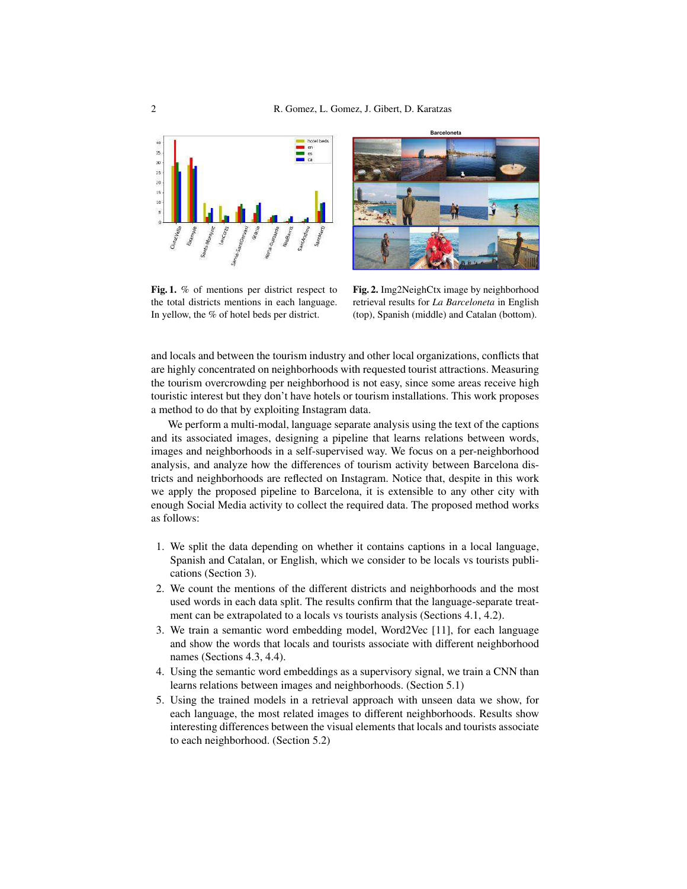

**Barceloneta** 

Fig. 1. % of mentions per district respect to the total districts mentions in each language. In yellow, the % of hotel beds per district.

Fig. 2. Img2NeighCtx image by neighborhood retrieval results for *La Barceloneta* in English (top), Spanish (middle) and Catalan (bottom).

and locals and between the tourism industry and other local organizations, conflicts that are highly concentrated on neighborhoods with requested tourist attractions. Measuring the tourism overcrowding per neighborhood is not easy, since some areas receive high touristic interest but they don't have hotels or tourism installations. This work proposes a method to do that by exploiting Instagram data.

We perform a multi-modal, language separate analysis using the text of the captions and its associated images, designing a pipeline that learns relations between words, images and neighborhoods in a self-supervised way. We focus on a per-neighborhood analysis, and analyze how the differences of tourism activity between Barcelona districts and neighborhoods are reflected on Instagram. Notice that, despite in this work we apply the proposed pipeline to Barcelona, it is extensible to any other city with enough Social Media activity to collect the required data. The proposed method works as follows:

- 1. We split the data depending on whether it contains captions in a local language, Spanish and Catalan, or English, which we consider to be locals vs tourists publications (Section 3).
- 2. We count the mentions of the different districts and neighborhoods and the most used words in each data split. The results confirm that the language-separate treatment can be extrapolated to a locals vs tourists analysis (Sections 4.1, 4.2).
- 3. We train a semantic word embedding model, Word2Vec [11], for each language and show the words that locals and tourists associate with different neighborhood names (Sections 4.3, 4.4).
- 4. Using the semantic word embeddings as a supervisory signal, we train a CNN than learns relations between images and neighborhoods. (Section 5.1)
- 5. Using the trained models in a retrieval approach with unseen data we show, for each language, the most related images to different neighborhoods. Results show interesting differences between the visual elements that locals and tourists associate to each neighborhood. (Section 5.2)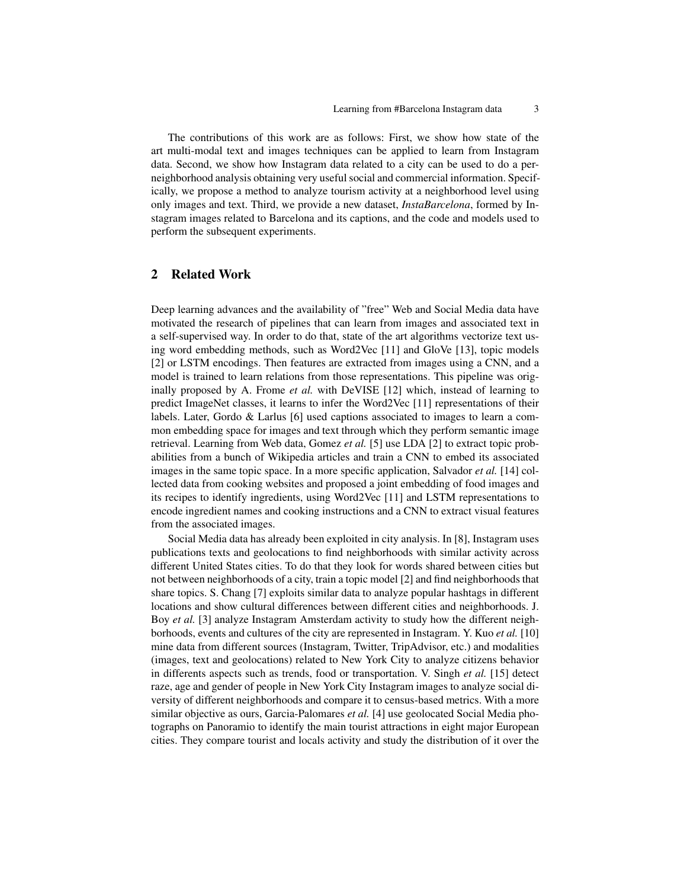The contributions of this work are as follows: First, we show how state of the art multi-modal text and images techniques can be applied to learn from Instagram data. Second, we show how Instagram data related to a city can be used to do a perneighborhood analysis obtaining very useful social and commercial information. Specifically, we propose a method to analyze tourism activity at a neighborhood level using only images and text. Third, we provide a new dataset, *InstaBarcelona*, formed by Instagram images related to Barcelona and its captions, and the code and models used to perform the subsequent experiments.

# 2 Related Work

Deep learning advances and the availability of "free" Web and Social Media data have motivated the research of pipelines that can learn from images and associated text in a self-supervised way. In order to do that, state of the art algorithms vectorize text using word embedding methods, such as Word2Vec [11] and GloVe [13], topic models [2] or LSTM encodings. Then features are extracted from images using a CNN, and a model is trained to learn relations from those representations. This pipeline was originally proposed by A. Frome *et al.* with DeVISE [12] which, instead of learning to predict ImageNet classes, it learns to infer the Word2Vec [11] representations of their labels. Later, Gordo & Larlus [6] used captions associated to images to learn a common embedding space for images and text through which they perform semantic image retrieval. Learning from Web data, Gomez *et al.* [5] use LDA [2] to extract topic probabilities from a bunch of Wikipedia articles and train a CNN to embed its associated images in the same topic space. In a more specific application, Salvador *et al.* [14] collected data from cooking websites and proposed a joint embedding of food images and its recipes to identify ingredients, using Word2Vec [11] and LSTM representations to encode ingredient names and cooking instructions and a CNN to extract visual features from the associated images.

Social Media data has already been exploited in city analysis. In [8], Instagram uses publications texts and geolocations to find neighborhoods with similar activity across different United States cities. To do that they look for words shared between cities but not between neighborhoods of a city, train a topic model [2] and find neighborhoods that share topics. S. Chang [7] exploits similar data to analyze popular hashtags in different locations and show cultural differences between different cities and neighborhoods. J. Boy *et al.* [3] analyze Instagram Amsterdam activity to study how the different neighborhoods, events and cultures of the city are represented in Instagram. Y. Kuo *et al.* [10] mine data from different sources (Instagram, Twitter, TripAdvisor, etc.) and modalities (images, text and geolocations) related to New York City to analyze citizens behavior in differents aspects such as trends, food or transportation. V. Singh *et al.* [15] detect raze, age and gender of people in New York City Instagram images to analyze social diversity of different neighborhoods and compare it to census-based metrics. With a more similar objective as ours, Garcia-Palomares *et al.* [4] use geolocated Social Media photographs on Panoramio to identify the main tourist attractions in eight major European cities. They compare tourist and locals activity and study the distribution of it over the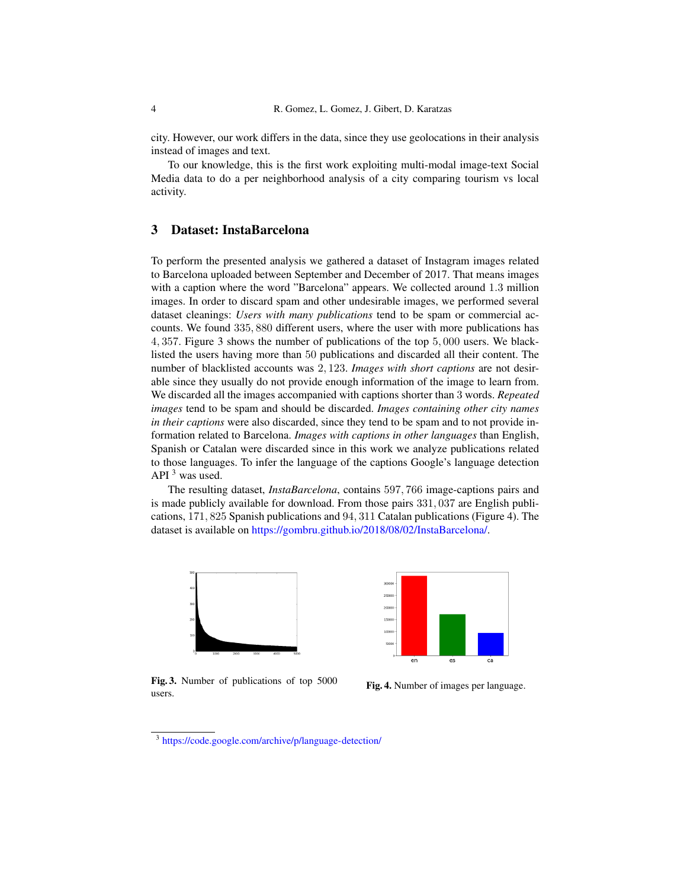city. However, our work differs in the data, since they use geolocations in their analysis instead of images and text.

To our knowledge, this is the first work exploiting multi-modal image-text Social Media data to do a per neighborhood analysis of a city comparing tourism vs local activity.

## 3 Dataset: InstaBarcelona

To perform the presented analysis we gathered a dataset of Instagram images related to Barcelona uploaded between September and December of 2017. That means images with a caption where the word "Barcelona" appears. We collected around 1.3 million images. In order to discard spam and other undesirable images, we performed several dataset cleanings: *Users with many publications* tend to be spam or commercial accounts. We found 335, 880 different users, where the user with more publications has 4, 357. Figure 3 shows the number of publications of the top 5, 000 users. We blacklisted the users having more than 50 publications and discarded all their content. The number of blacklisted accounts was 2, 123. *Images with short captions* are not desirable since they usually do not provide enough information of the image to learn from. We discarded all the images accompanied with captions shorter than 3 words. *Repeated images* tend to be spam and should be discarded. *Images containing other city names in their captions* were also discarded, since they tend to be spam and to not provide information related to Barcelona. *Images with captions in other languages* than English, Spanish or Catalan were discarded since in this work we analyze publications related to those languages. To infer the language of the captions Google's language detection API<sup>3</sup> was used.

The resulting dataset, *InstaBarcelona*, contains 597, 766 image-captions pairs and is made publicly available for download. From those pairs 331, 037 are English publications, 171, 825 Spanish publications and 94, 311 Catalan publications (Figure 4). The dataset is available on https://gombru.github.io/2018/08/02/InstaBarcelona/.



Fig. 3. Number of publications of top 5000 users.



<sup>3</sup> https://code.google.com/archive/p/language-detection/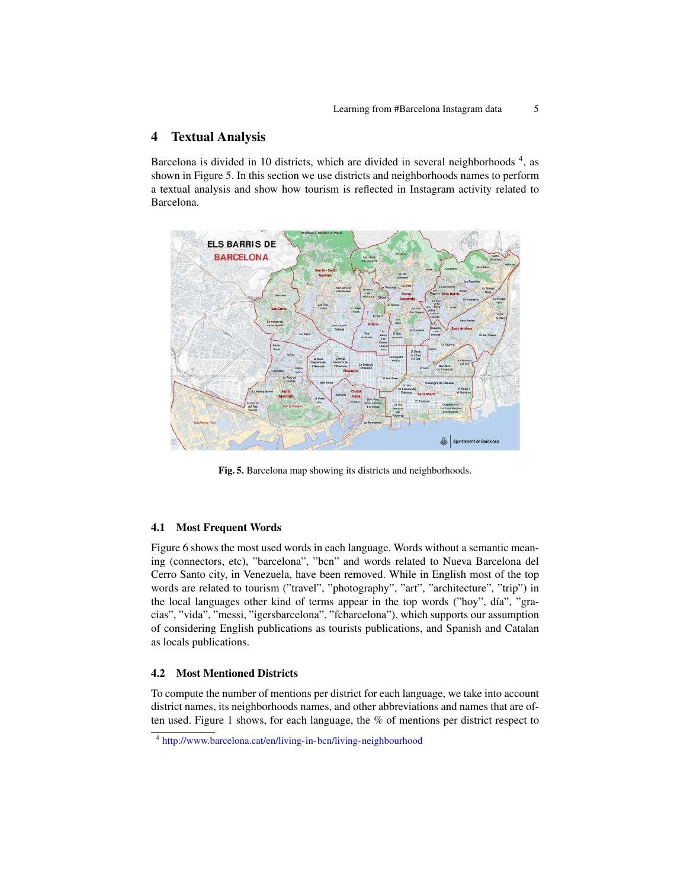# 4 Textual Analysis

Barcelona is divided in 10 districts, which are divided in several neighborhoods  $4$ , as shown in Figure 5. In this section we use districts and neighborhoods names to perform a textual analysis and show how tourism is reflected in Instagram activity related to Barcelona.



Fig. 5. Barcelona map showing its districts and neighborhoods.

#### 4.1 Most Frequent Words

Figure 6 shows the most used words in each language. Words without a semantic meaning (connectors, etc), "barcelona", "bcn" and words related to Nueva Barcelona del Cerro Santo city, in Venezuela, have been removed. While in English most of the top words are related to tourism ("travel", "photography", "art", "architecture", "trip") in the local languages other kind of terms appear in the top words ("hoy", día", "gracias", "vida", "messi, "igersbarcelona", "fcbarcelona"), which supports our assumption of considering English publications as tourists publications, and Spanish and Catalan as locals publications.

## 4.2 Most Mentioned Districts

To compute the number of mentions per district for each language, we take into account district names, its neighborhoods names, and other abbreviations and names that are often used. Figure 1 shows, for each language, the % of mentions per district respect to

<sup>4</sup> http://www.barcelona.cat/en/living-in-bcn/living-neighbourhood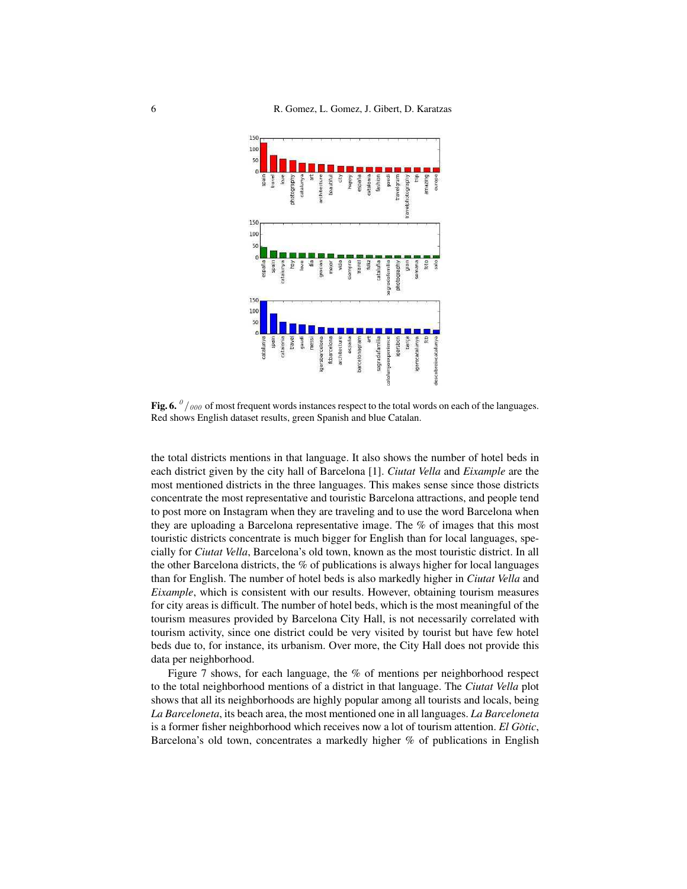

Fig. 6.  $^{0}/_{000}$  of most frequent words instances respect to the total words on each of the languages. Red shows English dataset results, green Spanish and blue Catalan.

the total districts mentions in that language. It also shows the number of hotel beds in each district given by the city hall of Barcelona [1]. *Ciutat Vella* and *Eixample* are the most mentioned districts in the three languages. This makes sense since those districts concentrate the most representative and touristic Barcelona attractions, and people tend to post more on Instagram when they are traveling and to use the word Barcelona when they are uploading a Barcelona representative image. The % of images that this most touristic districts concentrate is much bigger for English than for local languages, specially for *Ciutat Vella*, Barcelona's old town, known as the most touristic district. In all the other Barcelona districts, the % of publications is always higher for local languages than for English. The number of hotel beds is also markedly higher in *Ciutat Vella* and *Eixample*, which is consistent with our results. However, obtaining tourism measures for city areas is difficult. The number of hotel beds, which is the most meaningful of the tourism measures provided by Barcelona City Hall, is not necessarily correlated with tourism activity, since one district could be very visited by tourist but have few hotel beds due to, for instance, its urbanism. Over more, the City Hall does not provide this data per neighborhood.

Figure 7 shows, for each language, the % of mentions per neighborhood respect to the total neighborhood mentions of a district in that language. The *Ciutat Vella* plot shows that all its neighborhoods are highly popular among all tourists and locals, being *La Barceloneta*, its beach area, the most mentioned one in all languages. *La Barceloneta* is a former fisher neighborhood which receives now a lot of tourism attention. *El Gòtic*, Barcelona's old town, concentrates a markedly higher % of publications in English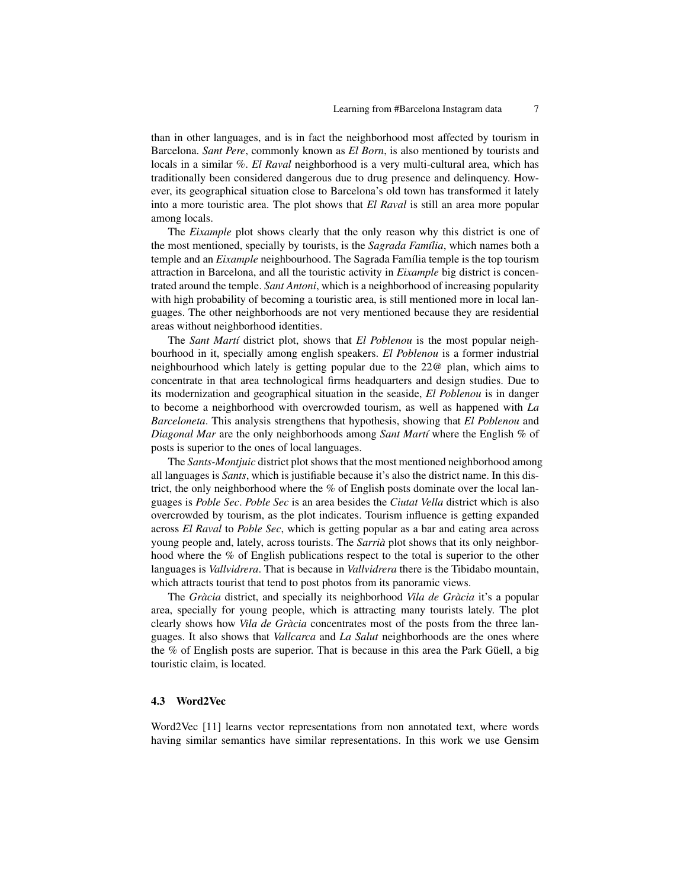than in other languages, and is in fact the neighborhood most affected by tourism in Barcelona. *Sant Pere*, commonly known as *El Born*, is also mentioned by tourists and locals in a similar %. *El Raval* neighborhood is a very multi-cultural area, which has traditionally been considered dangerous due to drug presence and delinquency. However, its geographical situation close to Barcelona's old town has transformed it lately into a more touristic area. The plot shows that *El Raval* is still an area more popular among locals.

The *Eixample* plot shows clearly that the only reason why this district is one of the most mentioned, specially by tourists, is the *Sagrada Fam´ılia*, which names both a temple and an *Eixample* neighbourhood. The Sagrada Família temple is the top tourism attraction in Barcelona, and all the touristic activity in *Eixample* big district is concentrated around the temple. *Sant Antoni*, which is a neighborhood of increasing popularity with high probability of becoming a touristic area, is still mentioned more in local languages. The other neighborhoods are not very mentioned because they are residential areas without neighborhood identities.

The *Sant Martí* district plot, shows that *El Poblenou* is the most popular neighbourhood in it, specially among english speakers. *El Poblenou* is a former industrial neighbourhood which lately is getting popular due to the 22@ plan, which aims to concentrate in that area technological firms headquarters and design studies. Due to its modernization and geographical situation in the seaside, *El Poblenou* is in danger to become a neighborhood with overcrowded tourism, as well as happened with *La Barceloneta*. This analysis strengthens that hypothesis, showing that *El Poblenou* and *Diagonal Mar* are the only neighborhoods among *Sant Martí* where the English % of posts is superior to the ones of local languages.

The *Sants-Montjuic* district plot shows that the most mentioned neighborhood among all languages is *Sants*, which is justifiable because it's also the district name. In this district, the only neighborhood where the % of English posts dominate over the local languages is *Poble Sec*. *Poble Sec* is an area besides the *Ciutat Vella* district which is also overcrowded by tourism, as the plot indicates. Tourism influence is getting expanded across *El Raval* to *Poble Sec*, which is getting popular as a bar and eating area across young people and, lately, across tourists. The *Sarria`* plot shows that its only neighborhood where the % of English publications respect to the total is superior to the other languages is *Vallvidrera*. That is because in *Vallvidrera* there is the Tibidabo mountain, which attracts tourist that tend to post photos from its panoramic views.

The *Gràcia* district, and specially its neighborhood *Vila de Gràcia* it's a popular area, specially for young people, which is attracting many tourists lately. The plot clearly shows how *Vila de Gràcia* concentrates most of the posts from the three languages. It also shows that *Vallcarca* and *La Salut* neighborhoods are the ones where the % of English posts are superior. That is because in this area the Park Güell, a big touristic claim, is located.

#### 4.3 Word2Vec

Word2Vec [11] learns vector representations from non annotated text, where words having similar semantics have similar representations. In this work we use Gensim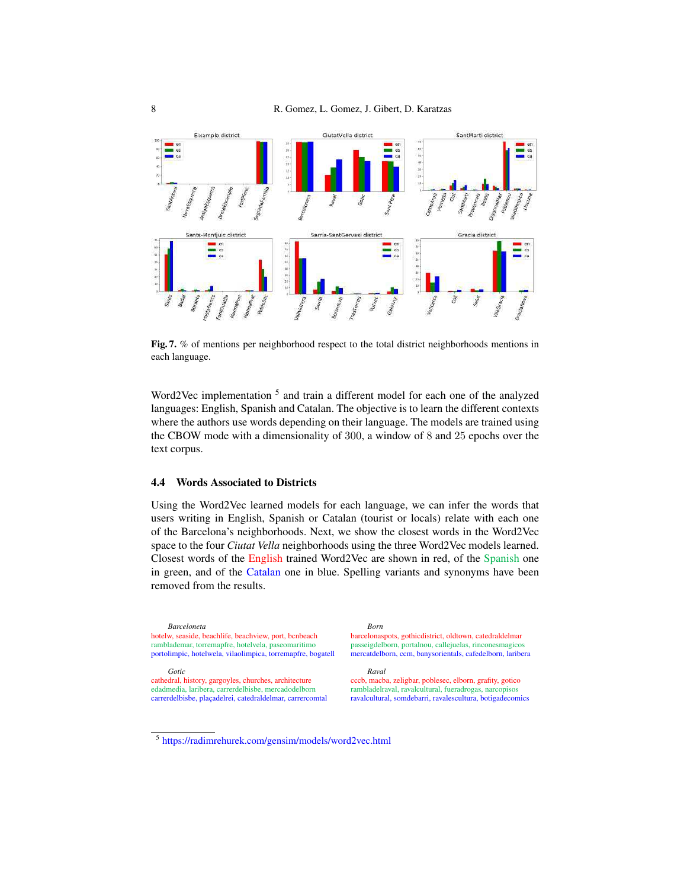

Fig. 7. % of mentions per neighborhood respect to the total district neighborhoods mentions in each language.

Word2Vec implementation <sup>5</sup> and train a different model for each one of the analyzed languages: English, Spanish and Catalan. The objective is to learn the different contexts where the authors use words depending on their language. The models are trained using the CBOW mode with a dimensionality of 300, a window of 8 and 25 epochs over the text corpus.

#### 4.4 Words Associated to Districts

Using the Word2Vec learned models for each language, we can infer the words that users writing in English, Spanish or Catalan (tourist or locals) relate with each one of the Barcelona's neighborhoods. Next, we show the closest words in the Word2Vec space to the four *Ciutat Vella* neighborhoods using the three Word2Vec models learned. Closest words of the English trained Word2Vec are shown in red, of the Spanish one in green, and of the Catalan one in blue. Spelling variants and synonyms have been removed from the results.

*Barceloneta* hotelw, seaside, beachlife, beachview, port, bcnbeach ramblademar, torremapfre, hotelvela, paseomaritimo portolimpic, hotelwela, vilaolimpica, torremapfre, bogatell

*Gotic*

cathedral, history, gargoyles, churches, architecture edadmedia, laribera, carrerdelbisbe, mercadodelborn carrerdelbisbe, plaçadelrei, catedraldelmar, carrercomtal *Born*

barcelonaspots, gothicdistrict, oldtown, catedraldelmar passeigdelborn, portalnou, callejuelas, rinconesmagicos mercatdelborn, ccm, banysorientals, cafedelborn, laribera

*Raval* cccb, macba, zeligbar, poblesec, elborn, grafity, gotico rambladelraval, ravalcultural, fueradrogas, narcopisos

ravalcultural, somdebarri, ravalescultura, botigadecomics

<sup>5</sup> https://radimrehurek.com/gensim/models/word2vec.html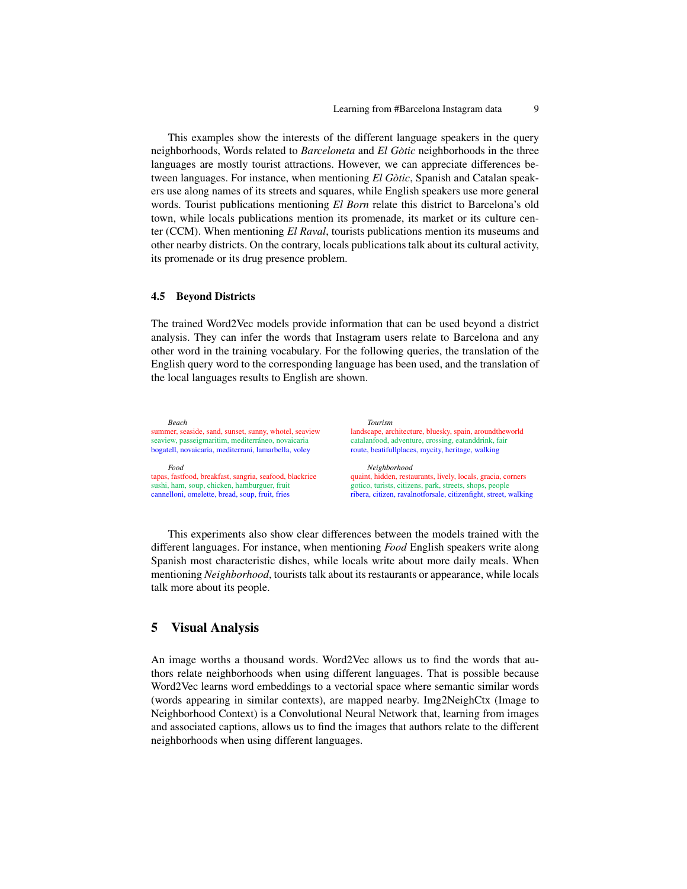This examples show the interests of the different language speakers in the query neighborhoods, Words related to *Barceloneta* and *El Gotic `* neighborhoods in the three languages are mostly tourist attractions. However, we can appreciate differences between languages. For instance, when mentioning *El Gòtic*, Spanish and Catalan speakers use along names of its streets and squares, while English speakers use more general words. Tourist publications mentioning *El Born* relate this district to Barcelona's old town, while locals publications mention its promenade, its market or its culture center (CCM). When mentioning *El Raval*, tourists publications mention its museums and other nearby districts. On the contrary, locals publications talk about its cultural activity, its promenade or its drug presence problem.

#### 4.5 Beyond Districts

The trained Word2Vec models provide information that can be used beyond a district analysis. They can infer the words that Instagram users relate to Barcelona and any other word in the training vocabulary. For the following queries, the translation of the English query word to the corresponding language has been used, and the translation of the local languages results to English are shown.



This experiments also show clear differences between the models trained with the different languages. For instance, when mentioning *Food* English speakers write along Spanish most characteristic dishes, while locals write about more daily meals. When mentioning *Neighborhood*, tourists talk about its restaurants or appearance, while locals talk more about its people.

## 5 Visual Analysis

An image worths a thousand words. Word2Vec allows us to find the words that authors relate neighborhoods when using different languages. That is possible because Word2Vec learns word embeddings to a vectorial space where semantic similar words (words appearing in similar contexts), are mapped nearby. Img2NeighCtx (Image to Neighborhood Context) is a Convolutional Neural Network that, learning from images and associated captions, allows us to find the images that authors relate to the different neighborhoods when using different languages.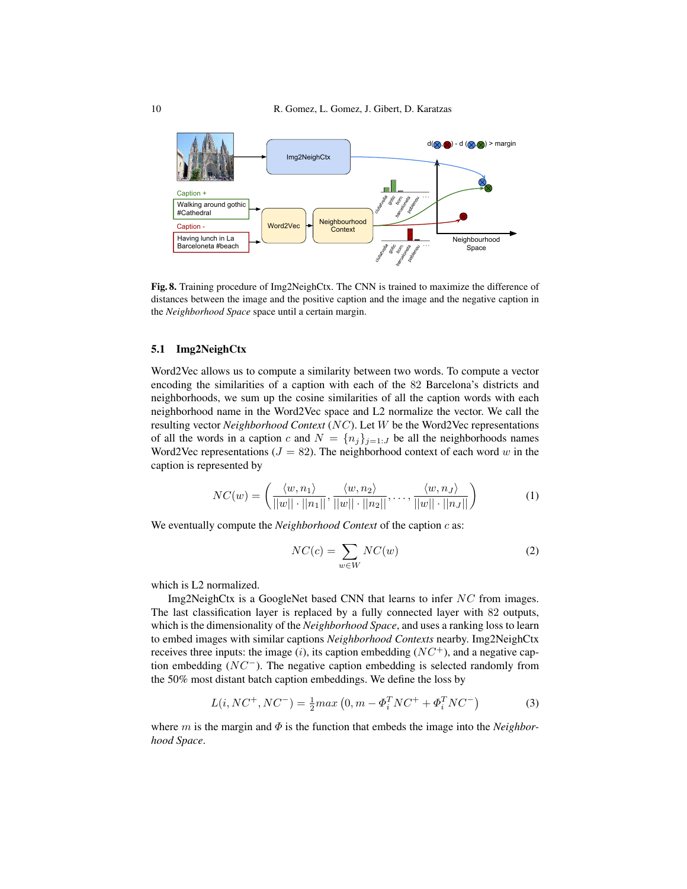

Fig. 8. Training procedure of Img2NeighCtx. The CNN is trained to maximize the difference of distances between the image and the positive caption and the image and the negative caption in the *Neighborhood Space* space until a certain margin.

#### 5.1 Img2NeighCtx

Word2Vec allows us to compute a similarity between two words. To compute a vector encoding the similarities of a caption with each of the 82 Barcelona's districts and neighborhoods, we sum up the cosine similarities of all the caption words with each neighborhood name in the Word2Vec space and L2 normalize the vector. We call the resulting vector *Neighborhood Context* (NC). Let W be the Word2Vec representations of all the words in a caption c and  $N = \{n_j\}_{j=1:J}$  be all the neighborhoods names Word2Vec representations ( $J = 82$ ). The neighborhood context of each word w in the caption is represented by

$$
NC(w) = \left(\frac{\langle w, n_1\rangle}{||w|| \cdot ||n_1||}, \frac{\langle w, n_2\rangle}{||w|| \cdot ||n_2||}, \dots, \frac{\langle w, n_J\rangle}{||w|| \cdot ||n_J||}\right)
$$
(1)

We eventually compute the *Neighborhood Context* of the caption c as:

$$
NC(c) = \sum_{w \in W} NC(w) \tag{2}
$$

which is L2 normalized.

Img2NeighCtx is a GoogleNet based CNN that learns to infer NC from images. The last classification layer is replaced by a fully connected layer with 82 outputs, which is the dimensionality of the *Neighborhood Space*, and uses a ranking loss to learn to embed images with similar captions *Neighborhood Contexts* nearby. Img2NeighCtx receives three inputs: the image  $(i)$ , its caption embedding  $(NC^+)$ , and a negative caption embedding (NC<sup>−</sup>). The negative caption embedding is selected randomly from the 50% most distant batch caption embeddings. We define the loss by

$$
L(i, NC^{+}, NC^{-}) = \frac{1}{2}max(0, m - \Phi_i^T NC^{+} + \Phi_i^T NC^{-})
$$
 (3)

where m is the margin and  $\Phi$  is the function that embeds the image into the *Neighborhood Space*.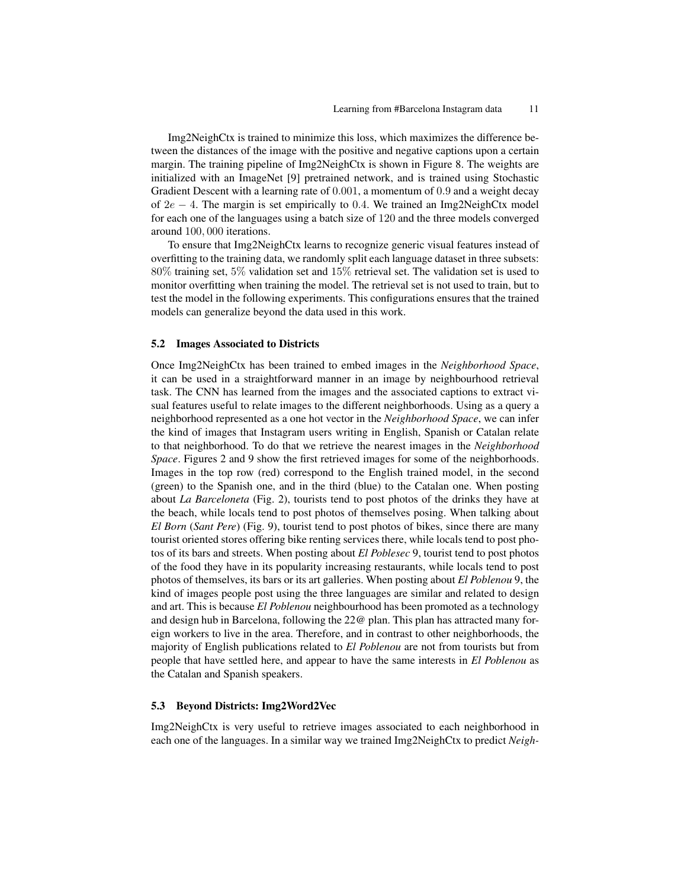Img2NeighCtx is trained to minimize this loss, which maximizes the difference between the distances of the image with the positive and negative captions upon a certain margin. The training pipeline of Img2NeighCtx is shown in Figure 8. The weights are initialized with an ImageNet [9] pretrained network, and is trained using Stochastic Gradient Descent with a learning rate of 0.001, a momentum of 0.9 and a weight decay of 2e − 4. The margin is set empirically to 0.4. We trained an Img2NeighCtx model for each one of the languages using a batch size of 120 and the three models converged around 100, 000 iterations.

To ensure that Img2NeighCtx learns to recognize generic visual features instead of overfitting to the training data, we randomly split each language dataset in three subsets: 80% training set, 5% validation set and 15% retrieval set. The validation set is used to monitor overfitting when training the model. The retrieval set is not used to train, but to test the model in the following experiments. This configurations ensures that the trained models can generalize beyond the data used in this work.

#### 5.2 Images Associated to Districts

Once Img2NeighCtx has been trained to embed images in the *Neighborhood Space*, it can be used in a straightforward manner in an image by neighbourhood retrieval task. The CNN has learned from the images and the associated captions to extract visual features useful to relate images to the different neighborhoods. Using as a query a neighborhood represented as a one hot vector in the *Neighborhood Space*, we can infer the kind of images that Instagram users writing in English, Spanish or Catalan relate to that neighborhood. To do that we retrieve the nearest images in the *Neighborhood Space*. Figures 2 and 9 show the first retrieved images for some of the neighborhoods. Images in the top row (red) correspond to the English trained model, in the second (green) to the Spanish one, and in the third (blue) to the Catalan one. When posting about *La Barceloneta* (Fig. 2), tourists tend to post photos of the drinks they have at the beach, while locals tend to post photos of themselves posing. When talking about *El Born* (*Sant Pere*) (Fig. 9), tourist tend to post photos of bikes, since there are many tourist oriented stores offering bike renting services there, while locals tend to post photos of its bars and streets. When posting about *El Poblesec* 9, tourist tend to post photos of the food they have in its popularity increasing restaurants, while locals tend to post photos of themselves, its bars or its art galleries. When posting about *El Poblenou* 9, the kind of images people post using the three languages are similar and related to design and art. This is because *El Poblenou* neighbourhood has been promoted as a technology and design hub in Barcelona, following the 22@ plan. This plan has attracted many foreign workers to live in the area. Therefore, and in contrast to other neighborhoods, the majority of English publications related to *El Poblenou* are not from tourists but from people that have settled here, and appear to have the same interests in *El Poblenou* as the Catalan and Spanish speakers.

#### 5.3 Beyond Districts: Img2Word2Vec

Img2NeighCtx is very useful to retrieve images associated to each neighborhood in each one of the languages. In a similar way we trained Img2NeighCtx to predict *Neigh-*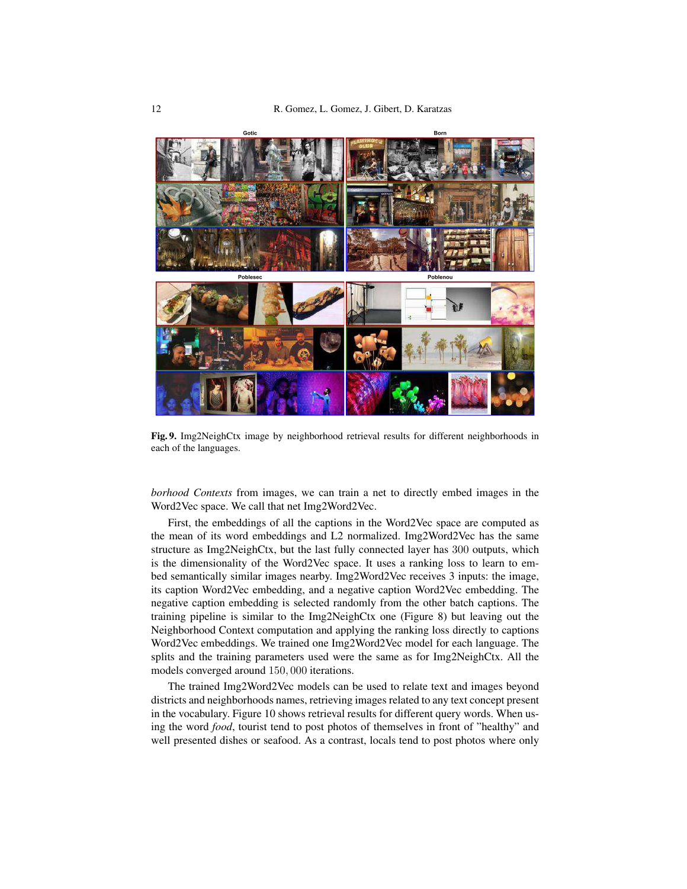

Fig. 9. Img2NeighCtx image by neighborhood retrieval results for different neighborhoods in each of the languages.

*borhood Contexts* from images, we can train a net to directly embed images in the Word2Vec space. We call that net Img2Word2Vec.

First, the embeddings of all the captions in the Word2Vec space are computed as the mean of its word embeddings and L2 normalized. Img2Word2Vec has the same structure as Img2NeighCtx, but the last fully connected layer has 300 outputs, which is the dimensionality of the Word2Vec space. It uses a ranking loss to learn to embed semantically similar images nearby. Img2Word2Vec receives 3 inputs: the image, its caption Word2Vec embedding, and a negative caption Word2Vec embedding. The negative caption embedding is selected randomly from the other batch captions. The training pipeline is similar to the Img2NeighCtx one (Figure 8) but leaving out the Neighborhood Context computation and applying the ranking loss directly to captions Word2Vec embeddings. We trained one Img2Word2Vec model for each language. The splits and the training parameters used were the same as for Img2NeighCtx. All the models converged around 150, 000 iterations.

The trained Img2Word2Vec models can be used to relate text and images beyond districts and neighborhoods names, retrieving images related to any text concept present in the vocabulary. Figure 10 shows retrieval results for different query words. When using the word *food*, tourist tend to post photos of themselves in front of "healthy" and well presented dishes or seafood. As a contrast, locals tend to post photos where only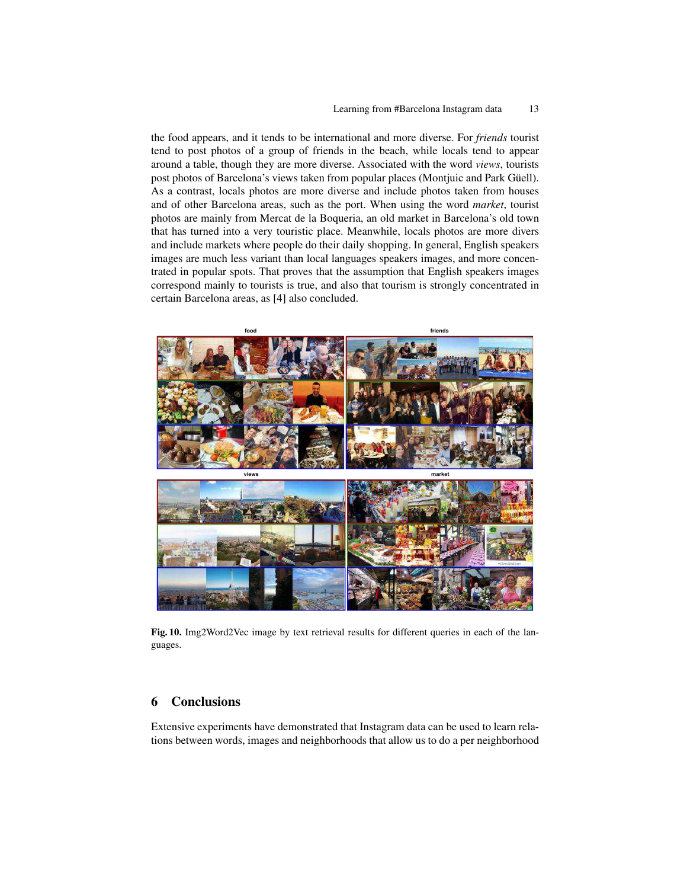the food appears, and it tends to be international and more diverse. For *friends* tourist tend to post photos of a group of friends in the beach, while locals tend to appear around a table, though they are more diverse. Associated with the word *views*, tourists post photos of Barcelona's views taken from popular places (Montjuic and Park Güell). As a contrast, locals photos are more diverse and include photos taken from houses and of other Barcelona areas, such as the port. When using the word *market*, tourist photos are mainly from Mercat de la Boqueria, an old market in Barcelona's old town that has turned into a very touristic place. Meanwhile, locals photos are more divers and include markets where people do their daily shopping. In general, English speakers images are much less variant than local languages speakers images, and more concentrated in popular spots. That proves that the assumption that English speakers images correspond mainly to tourists is true, and also that tourism is strongly concentrated in certain Barcelona areas, as [4] also concluded.



Fig. 10. Img2Word2Vec image by text retrieval results for different queries in each of the languages.

## 6 Conclusions

Extensive experiments have demonstrated that Instagram data can be used to learn relations between words, images and neighborhoods that allow us to do a per neighborhood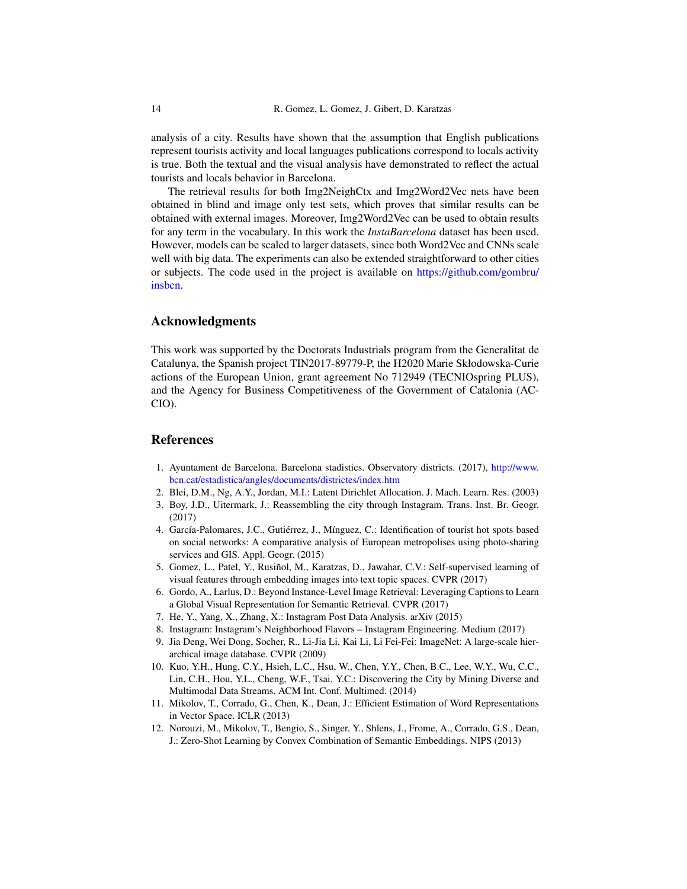analysis of a city. Results have shown that the assumption that English publications represent tourists activity and local languages publications correspond to locals activity is true. Both the textual and the visual analysis have demonstrated to reflect the actual tourists and locals behavior in Barcelona.

The retrieval results for both Img2NeighCtx and Img2Word2Vec nets have been obtained in blind and image only test sets, which proves that similar results can be obtained with external images. Moreover, Img2Word2Vec can be used to obtain results for any term in the vocabulary. In this work the *InstaBarcelona* dataset has been used. However, models can be scaled to larger datasets, since both Word2Vec and CNNs scale well with big data. The experiments can also be extended straightforward to other cities or subjects. The code used in the project is available on https://github.com/gombru/ insbcn.

## Acknowledgments

This work was supported by the Doctorats Industrials program from the Generalitat de Catalunya, the Spanish project TIN2017-89779-P, the H2020 Marie Skłodowska-Curie actions of the European Union, grant agreement No 712949 (TECNIOspring PLUS), and the Agency for Business Competitiveness of the Government of Catalonia (AC-CIO).

# References

- 1. Ayuntament de Barcelona. Barcelona stadistics. Observatory districts. (2017), http://www. bcn.cat/estadistica/angles/documents/districtes/index.htm
- 2. Blei, D.M., Ng, A.Y., Jordan, M.I.: Latent Dirichlet Allocation. J. Mach. Learn. Res. (2003)
- 3. Boy, J.D., Uitermark, J.: Reassembling the city through Instagram. Trans. Inst. Br. Geogr. (2017)
- 4. García-Palomares, J.C., Gutiérrez, J., Mínguez, C.: Identification of tourist hot spots based on social networks: A comparative analysis of European metropolises using photo-sharing services and GIS. Appl. Geogr. (2015)
- 5. Gomez, L., Patel, Y., Rusiñol, M., Karatzas, D., Jawahar, C.V.: Self-supervised learning of visual features through embedding images into text topic spaces. CVPR (2017)
- 6. Gordo, A., Larlus, D.: Beyond Instance-Level Image Retrieval: Leveraging Captions to Learn a Global Visual Representation for Semantic Retrieval. CVPR (2017)
- 7. He, Y., Yang, X., Zhang, X.: Instagram Post Data Analysis. arXiv (2015)
- 8. Instagram: Instagram's Neighborhood Flavors Instagram Engineering. Medium (2017)
- 9. Jia Deng, Wei Dong, Socher, R., Li-Jia Li, Kai Li, Li Fei-Fei: ImageNet: A large-scale hierarchical image database. CVPR (2009)
- 10. Kuo, Y.H., Hung, C.Y., Hsieh, L.C., Hsu, W., Chen, Y.Y., Chen, B.C., Lee, W.Y., Wu, C.C., Lin, C.H., Hou, Y.L., Cheng, W.F., Tsai, Y.C.: Discovering the City by Mining Diverse and Multimodal Data Streams. ACM Int. Conf. Multimed. (2014)
- 11. Mikolov, T., Corrado, G., Chen, K., Dean, J.: Efficient Estimation of Word Representations in Vector Space. ICLR (2013)
- 12. Norouzi, M., Mikolov, T., Bengio, S., Singer, Y., Shlens, J., Frome, A., Corrado, G.S., Dean, J.: Zero-Shot Learning by Convex Combination of Semantic Embeddings. NIPS (2013)